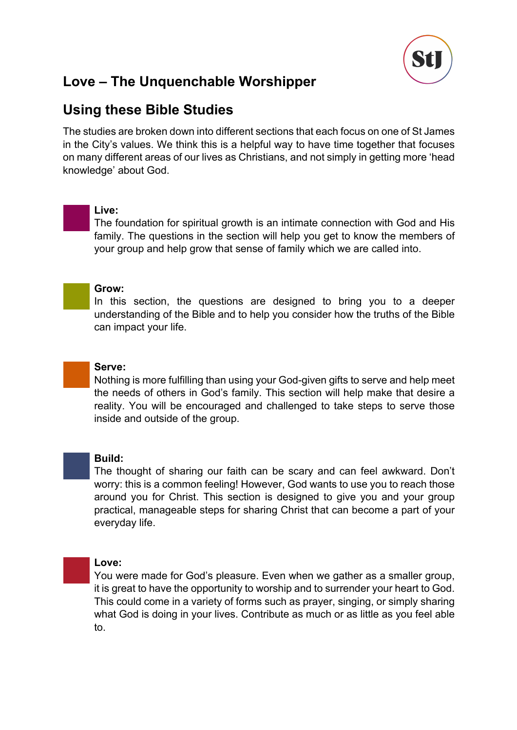

## **Using these Bible Studies**

The studies are broken down into different sections that each focus on one of St James in the City's values. We think this is a helpful way to have time together that focuses on many different areas of our lives as Christians, and not simply in getting more 'head knowledge' about God.

### **Live:**

The foundation for spiritual growth is an intimate connection with God and His family. The questions in the section will help you get to know the members of your group and help grow that sense of family which we are called into.



#### **Grow:**

In this section, the questions are designed to bring you to a deeper understanding of the Bible and to help you consider how the truths of the Bible can impact your life.



#### **Serve:**

Nothing is more fulfilling than using your God-given gifts to serve and help meet the needs of others in God's family. This section will help make that desire a reality. You will be encouraged and challenged to take steps to serve those inside and outside of the group.



#### **Build:**

The thought of sharing our faith can be scary and can feel awkward. Don't worry: this is a common feeling! However, God wants to use you to reach those around you for Christ. This section is designed to give you and your group practical, manageable steps for sharing Christ that can become a part of your everyday life.

### **Love:**

You were made for God's pleasure. Even when we gather as a smaller group, it is great to have the opportunity to worship and to surrender your heart to God. This could come in a variety of forms such as prayer, singing, or simply sharing what God is doing in your lives. Contribute as much or as little as you feel able to.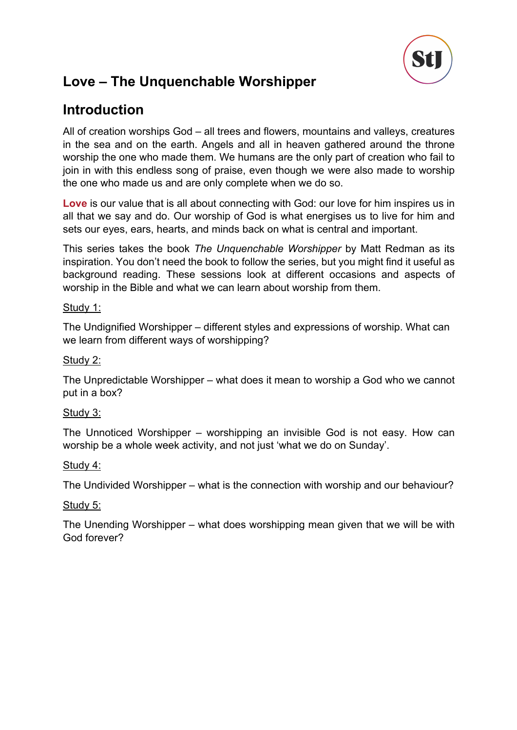

# **Introduction**

All of creation worships God – all trees and flowers, mountains and valleys, creatures in the sea and on the earth. Angels and all in heaven gathered around the throne worship the one who made them. We humans are the only part of creation who fail to join in with this endless song of praise, even though we were also made to worship the one who made us and are only complete when we do so.

**Love** is our value that is all about connecting with God: our love for him inspires us in all that we say and do. Our worship of God is what energises us to live for him and sets our eyes, ears, hearts, and minds back on what is central and important.

This series takes the book *The Unquenchable Worshipper* by Matt Redman as its inspiration. You don't need the book to follow the series, but you might find it useful as background reading. These sessions look at different occasions and aspects of worship in the Bible and what we can learn about worship from them.

### Study 1:

The Undignified Worshipper – different styles and expressions of worship. What can we learn from different ways of worshipping?

### Study 2:

The Unpredictable Worshipper – what does it mean to worship a God who we cannot put in a box?

### Study 3:

The Unnoticed Worshipper – worshipping an invisible God is not easy. How can worship be a whole week activity, and not just 'what we do on Sunday'.

#### Study 4:

The Undivided Worshipper – what is the connection with worship and our behaviour?

#### Study 5:

The Unending Worshipper – what does worshipping mean given that we will be with God forever?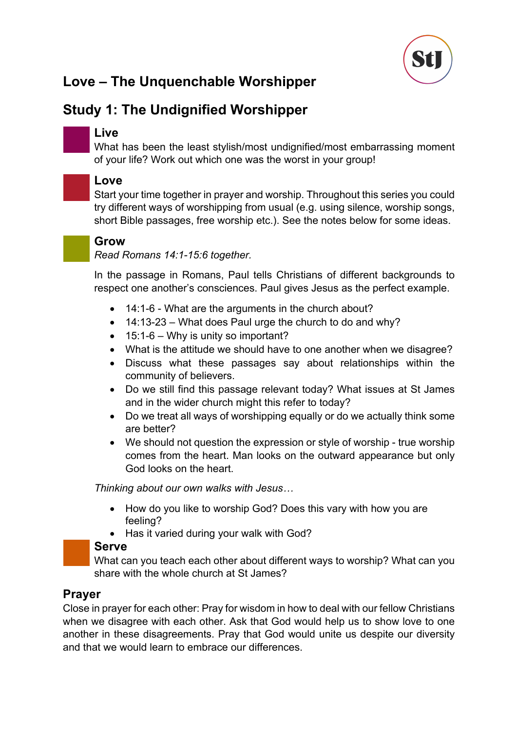

# **Study 1: The Undignified Worshipper**

### **Live**

What has been the least stylish/most undignified/most embarrassing moment of your life? Work out which one was the worst in your group!

# **Love**

Start your time together in prayer and worship. Throughout this series you could try different ways of worshipping from usual (e.g. using silence, worship songs, short Bible passages, free worship etc.). See the notes below for some ideas.



### **Grow**

*Read Romans 14:1-15:6 together.*

In the passage in Romans, Paul tells Christians of different backgrounds to respect one another's consciences. Paul gives Jesus as the perfect example.

- 14:1-6 What are the arguments in the church about?
- $\bullet$  14:13-23 What does Paul urge the church to do and why?
- 15:1-6 Why is unity so important?
- What is the attitude we should have to one another when we disagree?
- Discuss what these passages say about relationships within the community of believers.
- Do we still find this passage relevant today? What issues at St James and in the wider church might this refer to today?
- Do we treat all ways of worshipping equally or do we actually think some are better?
- We should not question the expression or style of worship true worship comes from the heart. Man looks on the outward appearance but only God looks on the heart.

*Thinking about our own walks with Jesus…*

- How do you like to worship God? Does this vary with how you are feeling?
- Has it varied during your walk with God?

### **Serve**

What can you teach each other about different ways to worship? What can you share with the whole church at St James?

### **Prayer**

Close in prayer for each other: Pray for wisdom in how to deal with our fellow Christians when we disagree with each other. Ask that God would help us to show love to one another in these disagreements. Pray that God would unite us despite our diversity and that we would learn to embrace our differences.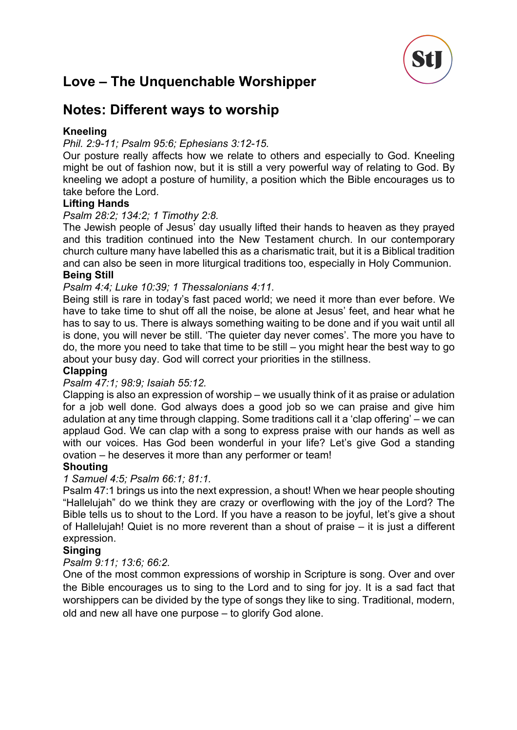

# **Notes: Different ways to worship**

### **Kneeling**

### *Phil. 2:9-11; Psalm 95:6; Ephesians 3:12-15.*

Our posture really affects how we relate to others and especially to God. Kneeling might be out of fashion now, but it is still a very powerful way of relating to God. By kneeling we adopt a posture of humility, a position which the Bible encourages us to take before the Lord.

### **Lifting Hands**

### *Psalm 28:2; 134:2; 1 Timothy 2:8.*

The Jewish people of Jesus' day usually lifted their hands to heaven as they prayed and this tradition continued into the New Testament church. In our contemporary church culture many have labelled this as a charismatic trait, but it is a Biblical tradition and can also be seen in more liturgical traditions too, especially in Holy Communion. **Being Still**

#### *Psalm 4:4; Luke 10:39; 1 Thessalonians 4:11.*

Being still is rare in today's fast paced world; we need it more than ever before. We have to take time to shut off all the noise, be alone at Jesus' feet, and hear what he has to say to us. There is always something waiting to be done and if you wait until all is done, you will never be still. 'The quieter day never comes'. The more you have to do, the more you need to take that time to be still – you might hear the best way to go about your busy day. God will correct your priorities in the stillness.

#### **Clapping**

#### *Psalm 47:1; 98:9; Isaiah 55:12.*

Clapping is also an expression of worship – we usually think of it as praise or adulation for a job well done. God always does a good job so we can praise and give him adulation at any time through clapping. Some traditions call it a 'clap offering' – we can applaud God. We can clap with a song to express praise with our hands as well as with our voices. Has God been wonderful in your life? Let's give God a standing ovation – he deserves it more than any performer or team!

#### **Shouting**

#### *1 Samuel 4:5; Psalm 66:1; 81:1.*

Psalm 47:1 brings us into the next expression, a shout! When we hear people shouting "Hallelujah" do we think they are crazy or overflowing with the joy of the Lord? The Bible tells us to shout to the Lord. If you have a reason to be joyful, let's give a shout of Hallelujah! Quiet is no more reverent than a shout of praise – it is just a different expression.

#### **Singing**

#### *Psalm 9:11; 13:6; 66:2.*

One of the most common expressions of worship in Scripture is song. Over and over the Bible encourages us to sing to the Lord and to sing for joy. It is a sad fact that worshippers can be divided by the type of songs they like to sing. Traditional, modern, old and new all have one purpose – to glorify God alone.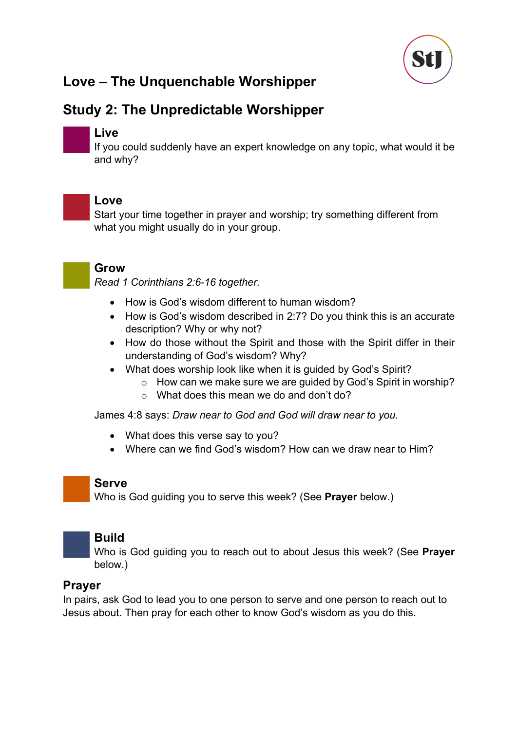

# **Study 2: The Unpredictable Worshipper**



### **Live**

If you could suddenly have an expert knowledge on any topic, what would it be and why?



### **Love**

Start your time together in prayer and worship; try something different from what you might usually do in your group.



### **Grow**

*Read 1 Corinthians 2:6-16 together.*

- How is God's wisdom different to human wisdom?
- How is God's wisdom described in 2:7? Do you think this is an accurate description? Why or why not?
- How do those without the Spirit and those with the Spirit differ in their understanding of God's wisdom? Why?
- What does worship look like when it is guided by God's Spirit?
	- o How can we make sure we are guided by God's Spirit in worship?
	- $\circ$  What does this mean we do and don't do?

James 4:8 says: *Draw near to God and God will draw near to you.*

- What does this verse say to you?
- Where can we find God's wisdom? How can we draw near to Him?

### **Serve**

Who is God guiding you to serve this week? (See **Prayer** below.)



### **Build**

Who is God guiding you to reach out to about Jesus this week? (See **Prayer** below.)

### **Prayer**

In pairs, ask God to lead you to one person to serve and one person to reach out to Jesus about. Then pray for each other to know God's wisdom as you do this.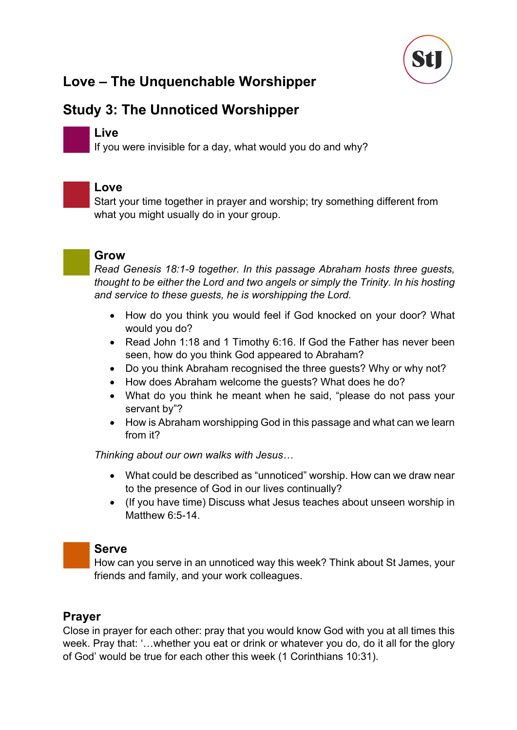

# **Study 3: The Unnoticed Worshipper**

### **Live**

If you were invisible for a day, what would you do and why?



### **Love**

Start your time together in prayer and worship; try something different from what you might usually do in your group.



### **Grow**

*Read Genesis 18:1-9 together. In this passage Abraham hosts three guests, thought to be either the Lord and two angels or simply the Trinity. In his hosting and service to these guests, he is worshipping the Lord.*

- How do you think you would feel if God knocked on your door? What would you do?
- Read John 1:18 and 1 Timothy 6:16. If God the Father has never been seen, how do you think God appeared to Abraham?
- Do you think Abraham recognised the three guests? Why or why not?
- How does Abraham welcome the guests? What does he do?
- What do you think he meant when he said, "please do not pass your servant by"?
- How is Abraham worshipping God in this passage and what can we learn from it?

*Thinking about our own walks with Jesus…*

- What could be described as "unnoticed" worship. How can we draw near to the presence of God in our lives continually?
- (If you have time) Discuss what Jesus teaches about unseen worship in Matthew 6:5-14.

### **Serve**

How can you serve in an unnoticed way this week? Think about St James, your friends and family, and your work colleagues.

### **Prayer**

Close in prayer for each other: pray that you would know God with you at all times this week. Pray that: '…whether you eat or drink or whatever you do, do it all for the glory of God' would be true for each other this week (1 Corinthians 10:31).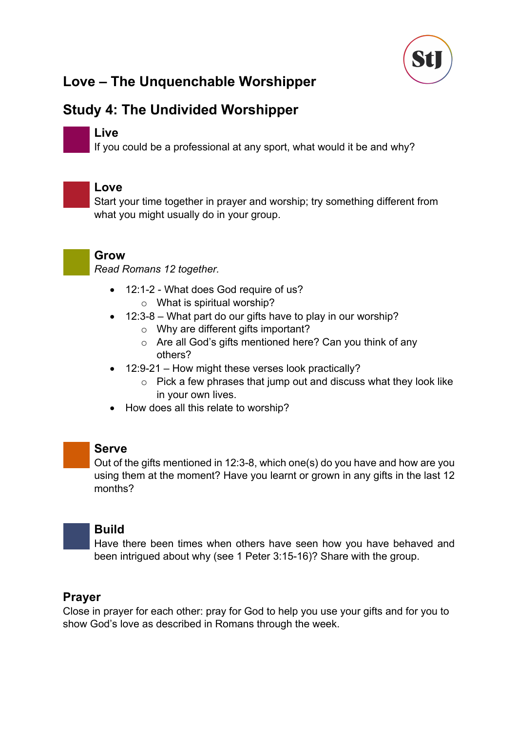

# **Study 4: The Undivided Worshipper**

### **Live**

If you could be a professional at any sport, what would it be and why?



### **Love**

Start your time together in prayer and worship; try something different from what you might usually do in your group.



### **Grow**

*Read Romans 12 together.*

- 12:1-2 What does God require of us? o What is spiritual worship?
- 12:3-8 What part do our gifts have to play in our worship?
	- o Why are different gifts important?
	- o Are all God's gifts mentioned here? Can you think of any others?
- 12:9-21 How might these verses look practically?
	- $\circ$  Pick a few phrases that jump out and discuss what they look like in your own lives.
- How does all this relate to worship?



### **Serve**

Out of the gifts mentioned in 12:3-8, which one(s) do you have and how are you using them at the moment? Have you learnt or grown in any gifts in the last 12 months?



### **Build**

Have there been times when others have seen how you have behaved and been intrigued about why (see 1 Peter 3:15-16)? Share with the group.

### **Prayer**

Close in prayer for each other: pray for God to help you use your gifts and for you to show God's love as described in Romans through the week.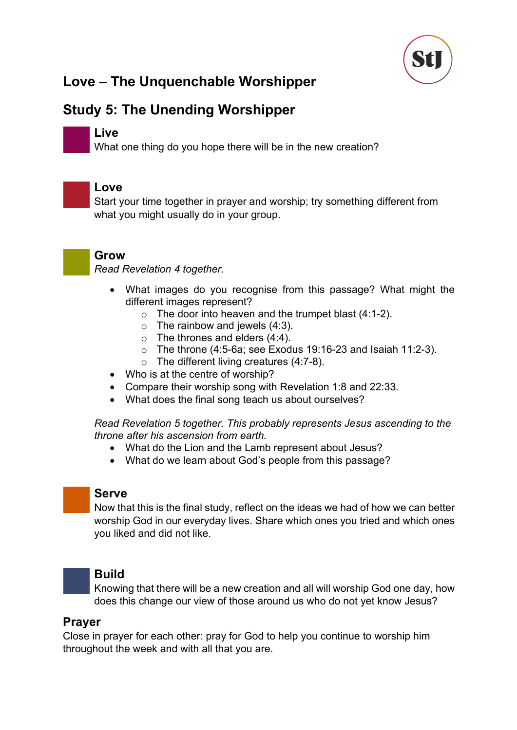

# **Study 5: The Unending Worshipper**

### **Live**

What one thing do you hope there will be in the new creation?



### **Love**

Start your time together in prayer and worship; try something different from what you might usually do in your group.



### **Grow**

*Read Revelation 4 together.*

- What images do you recognise from this passage? What might the different images represent?
	- $\circ$  The door into heaven and the trumpet blast (4:1-2).
	- $\circ$  The rainbow and jewels (4:3).
	- $\circ$  The thrones and elders (4:4).
	- o The throne (4:5-6a; see Exodus 19:16-23 and Isaiah 11:2-3).
	- $\circ$  The different living creatures (4:7-8).
- Who is at the centre of worship?
- Compare their worship song with Revelation 1:8 and 22:33.
- What does the final song teach us about ourselves?

*Read Revelation 5 together. This probably represents Jesus ascending to the throne after his ascension from earth.*

- What do the Lion and the Lamb represent about Jesus?
- What do we learn about God's people from this passage?

### **Serve**

Now that this is the final study, reflect on the ideas we had of how we can better worship God in our everyday lives. Share which ones you tried and which ones you liked and did not like.



### **Build**

Knowing that there will be a new creation and all will worship God one day, how does this change our view of those around us who do not yet know Jesus?

### **Prayer**

Close in prayer for each other: pray for God to help you continue to worship him throughout the week and with all that you are.